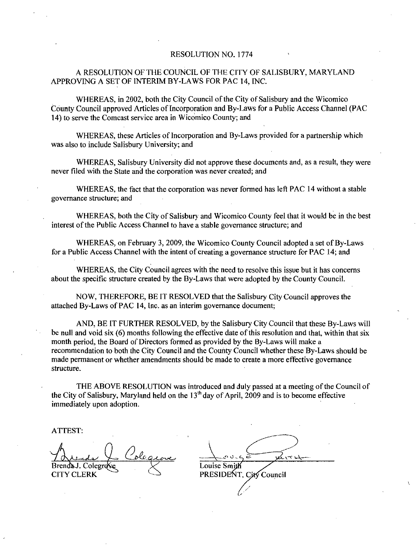#### RESOLUTION NO. 1774

#### A RESOLUTION OF THE COUNCIL OF THE CITY OF SALISBURY, MARYLAND APPROVING A SET OF INTERIM BY-LAWS FOR PAC 14, INC.

WHEREAS, in 2002, both the City Council of the City of Salisbury and the Wicomico County Council approved Articles of Incorporation and By-Laws for a Public Access Channel (PAC 14) to serve the Comcast service area in Wicomico County; and

WHEREAS, these Articles of Incorporation and By-Laws provided for a partnership which was also to include Salisbury University; and

WHEREAS, Salisbury University did not approve these documents and, as a result, they were never filed with the State and the corporation was never created; and

WHEREAS, the fact that the corporation was never formed has left PAC 14 without a stable governance structure; and

WHEREAS, both the City of Salisbury and Wicomico County feel that it would be in the best interest of the Public Access Channel to have a stable governance structure; and

WHEREAS, on February 3, 2009, the Wicomico County Council adopted a set of By-Laws for a Public Access Channel with the intent of creating a governance structure for PAC 14; and

WHEREAS, the City Council agrees with the need to resolve this issue but it has concerns about the specific structure created by the By-Laws that were adopted by the County Council.

NOW, THEREFORE, BE IT RESOLVED that the Salisbury City Council approves the attached By-Laws of PAC 14, Inc. as an interim governance document;

AND. BE IT FURTHER RESOLVED, by the Salisbury City Council that these By-Laws will be null and void six (6) months following the effective date of this resolution and that, within that six<br>month period, the Board of Directors formed as provided by the By-Laws will make a<br>recommendation to both the City C month period, the Board of Directors formed as provided by the By-Laws will make a<br>recommendation to both the City Council and the County Council whether these By-Laws should be made permanent or whether amendments should be made to create a more effective governance structure.

THE ABOVE RESOLUTION was introduced and duly passed at a meeting of the Council of the City of Salisbury, Maryland held on the  $13<sup>th</sup>$  day of April, 2009 and is to become effective immediately upon adoption

ATTEST

Brenda J. Colegro CITY CLERK

Louise Smith

**PRESIDENT. C** Council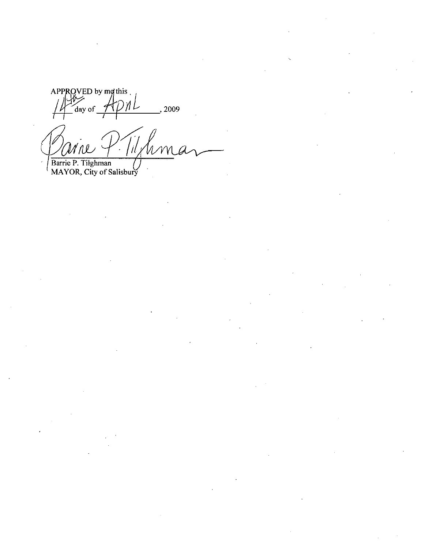APPROVED by me this  $\gamma$  day of  $\mathcal{I}(\mathcal{V})$   $\mathcal{V}(\mathcal{V})$  2009 Tilhma

Barrie P. Tilghman MAYOR, City of Salisbury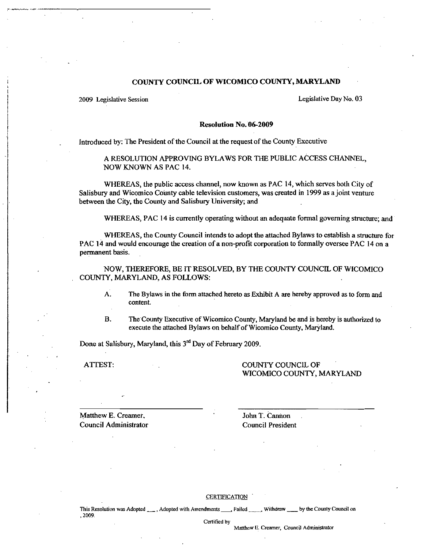#### COUNTY COUNCIL OF WICOMICO COUNTY MARYLAND

2009 Legislative Session 2009 Legislative Day No. 03

#### Resolution No. 06-2009

Introduced by: The President of the Council at the request of the County Executive

A RESOLUTION APPROVING BYLAWS FOR THE PUBLIC ACCESS CHANNEL NOW KNOWN AS PAC I4

WHEREAS, the public access channel, now known as PAC 14, which serves both City of Salisbury and Wicomico County cable television customers was created in <sup>1999</sup> as ajoint venture between the City, the County and Salisbury University: and

WHEREAS, PAC 14 is currently operating without an adequate formal governing structure; and

WHEREAS the County Council intends to adopt the attached Bylaws to establish <sup>a</sup> structure for PAC 14 and would encourage the creation of a non-profit corporation to formally oversee PAC 14 on a permanent basis

NOW, THEREFORE, BE IT RESOLVED, BY THE COUNTY COUNCIL OF WICOMICO COUNTY, MARYLAND, AS FOLLOWS:

- A The Bylaws in the fotm attached hereto as Exhibit <sup>A</sup> are hereby approved as to form and content
- B. The County Executive of Wicomico County, Maryland be and is hereby is authorized to execute the attached Bylaws on behalf of Wicomico County, Maryland.

Done at Salisbury, Maryland, this  $3<sup>rd</sup>$  Day of February 2009.

#### ATTEST: COUNTY COUNCIL OF WICOMICO COUNTY, MARYLAND

Matthew E. Creamer, Sohn T. Cannon Council Administrator Council President

CERTIFICATION

This Resolution was Adopted  $\ldots$ , Adopted with Amendments  $\ldots$ , Failed  $\ldots$ , Withdraw  $\ldots$  by the County Council on 2009

Certified by

Matthew E. Creamer, Council Administrator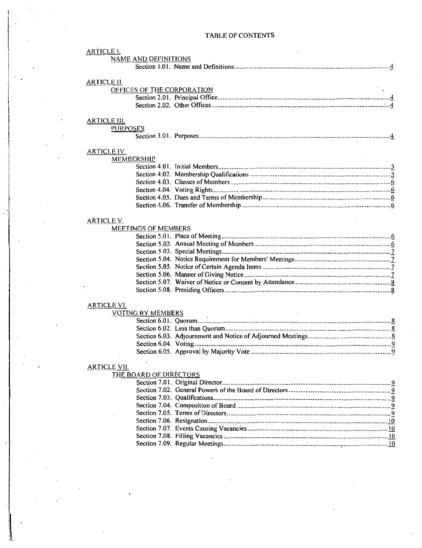#### TABLE OF CONTENTS

|                     |                            | <b>TABLE OF CONTENTS</b> |
|---------------------|----------------------------|--------------------------|
| <b>ARTICLE I.</b>   |                            |                          |
|                     | NAME AND DEFINITIONS       |                          |
|                     |                            |                          |
| <b>ARTICLE II.</b>  |                            |                          |
|                     | OFFICES OF THE CORPORATION |                          |
|                     |                            |                          |
|                     |                            |                          |
| <b>ARTICLE III.</b> |                            |                          |
| <b>PURPOSES</b>     |                            |                          |
|                     |                            |                          |
| <b>ARTICLE IV.</b>  |                            |                          |
|                     | <b>MEMBERSHIP</b>          |                          |
|                     |                            |                          |
|                     |                            |                          |
|                     |                            |                          |
|                     |                            |                          |
|                     |                            |                          |
| <b>ARTICLE V.</b>   |                            |                          |
|                     | MEETINGS OF MEMBERS        |                          |
|                     |                            |                          |
|                     |                            |                          |
|                     |                            |                          |
|                     |                            |                          |
|                     |                            |                          |
|                     |                            |                          |
|                     |                            |                          |
| <b>ARTICLE VI.</b>  |                            |                          |
|                     | <b>VOTING BY MEMBERS</b>   |                          |
|                     |                            |                          |
|                     |                            |                          |
|                     |                            |                          |
|                     |                            |                          |
| <b>ARTICLE VII.</b> |                            |                          |
|                     | THE BOARD OF DIRECTORS     |                          |
|                     |                            |                          |
|                     |                            |                          |
|                     |                            |                          |
|                     |                            |                          |
|                     |                            |                          |
|                     |                            |                          |
|                     |                            |                          |

 $\ddot{\phantom{a}}$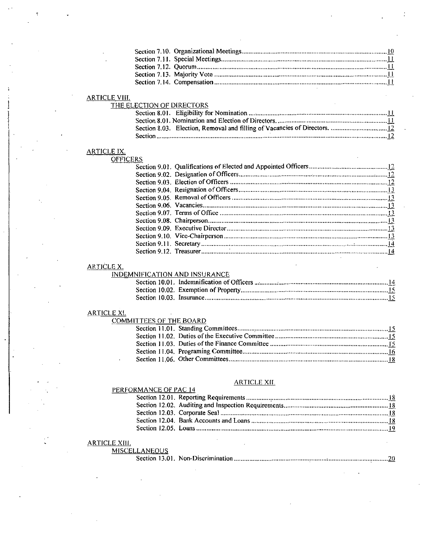| E VIII. |                           |  |
|---------|---------------------------|--|
|         | THE ELECTION OF DIRECTORS |  |
|         |                           |  |
|         |                           |  |

## ARTICLE VIII.<br>THE EL

Y.

| <b>ECTION OF DIRECTORS</b> |  |
|----------------------------|--|
|                            |  |
|                            |  |
|                            |  |
|                            |  |
|                            |  |
|                            |  |

#### ARTICLE IX

|                          |                                | $\sim$                               |  |
|--------------------------|--------------------------------|--------------------------------------|--|
|                          |                                |                                      |  |
| <u>e viit.</u>           | THE ELECTION OF DIRECTORS      |                                      |  |
|                          |                                |                                      |  |
| <u>E IX.</u><br>OFFICERS |                                |                                      |  |
|                          |                                |                                      |  |
|                          |                                |                                      |  |
| <u>ЕХ.</u>               |                                | <b>INDEMNIFICATION AND INSURANCE</b> |  |
|                          |                                |                                      |  |
| E XI.                    | <b>COMMITTEES OF THE BOARD</b> |                                      |  |
|                          |                                |                                      |  |
|                          | PERFORMANCE OF PAC 14          | <b>ARTICLE XII.</b>                  |  |
| <u>e xiil</u>            |                                |                                      |  |

# ARTICLE X<br>INI

|     | $\sigma$ CCROR 7.10, vicc-Changerson manufacture contraction continuum manufacture continuum $L^2$ |  |
|-----|----------------------------------------------------------------------------------------------------|--|
|     |                                                                                                    |  |
|     |                                                                                                    |  |
|     |                                                                                                    |  |
| EX. |                                                                                                    |  |
|     | <b>INDEMNIFICATION AND INSURANCE</b>                                                               |  |
|     |                                                                                                    |  |
|     |                                                                                                    |  |
|     |                                                                                                    |  |
|     |                                                                                                    |  |

## ARTICLE XI.<br>COMMITTEES

| MITTEES OF THE BOARD |  |
|----------------------|--|
|                      |  |
|                      |  |
|                      |  |
|                      |  |
|                      |  |
|                      |  |
|                      |  |

#### **ARTICLE XII.**

|                |                             | <u>ARTICLE XII.</u> |
|----------------|-----------------------------|---------------------|
|                | 'ERFORMANCE OF PAC 14       |                     |
|                |                             |                     |
|                |                             |                     |
|                |                             |                     |
|                |                             |                     |
|                |                             |                     |
|                |                             |                     |
| <u>: XIII.</u> |                             |                     |
|                | <i><b>AISCELLANEOUS</b></i> |                     |
|                |                             |                     |
|                |                             |                     |
|                |                             |                     |
|                |                             |                     |
|                |                             |                     |
|                |                             |                     |
|                |                             |                     |

#### **ARTICLE XIII.**

 $\ddot{\zeta}$ 

| <b>MISCELLANEOUS</b> |  |
|----------------------|--|
|                      |  |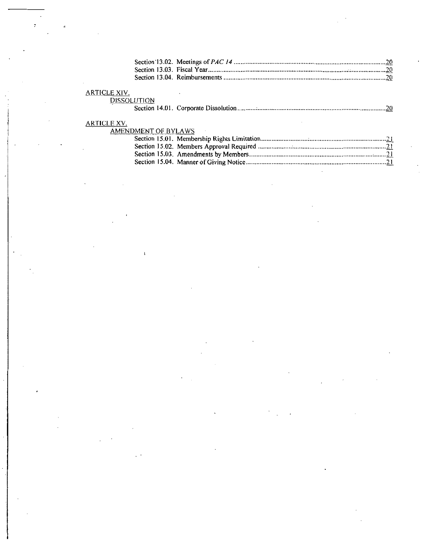| LUTIO <u>N</u>                           |  |
|------------------------------------------|--|
|                                          |  |
| DMENT OF BYLAWS                          |  |
|                                          |  |
| Section 15.02. Members Annroyal Required |  |

#### ARTICLE X1V

 $\boldsymbol{\tau}$ 

 $\bar{\mathbf{x}}$ 

| DISSOLUTIO <u>N</u> |  |
|---------------------|--|
|                     |  |

#### ARTICLE XV

 $\mathbf{I}$ 

|                |                            | $\sim$ |  |
|----------------|----------------------------|--------|--|
|                |                            |        |  |
|                |                            |        |  |
|                |                            |        |  |
|                |                            |        |  |
|                |                            |        |  |
|                |                            |        |  |
|                |                            |        |  |
| <u>.e xiv.</u> |                            |        |  |
|                | <b>DISSOLUTION</b>         |        |  |
|                |                            |        |  |
| <u>.e xv.</u>  |                            |        |  |
|                | <b>AMENDMENT OF BYLAWS</b> |        |  |
|                |                            |        |  |
|                |                            |        |  |
|                |                            |        |  |
|                |                            |        |  |
|                |                            |        |  |
|                |                            |        |  |
|                |                            |        |  |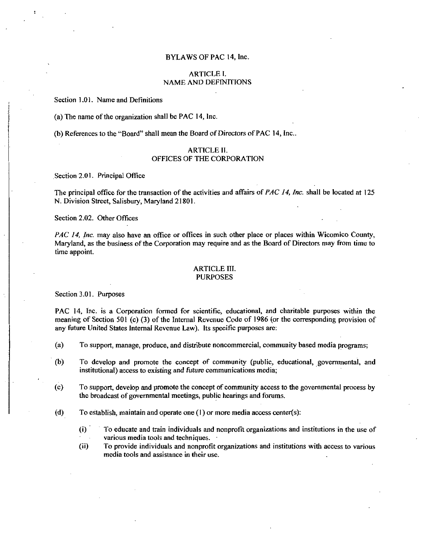#### BYLAWS OF PAC 14 Inc

#### ARTICLE 1 NAME AND DEFINITIONS

Section 1.01. Name and Definitions

(a) The name of the organization shall be PAC  $14$ , Inc.

(b) References to the "Board" shall mean the Board of Directors of PAC 14, Inc..

#### ARTICLE II OFFICES OF THE CORPORATION

Section 2.01. Principal Office

The principal office for the transaction of the activities and affairs of PAC 14, Inc. shall be located at 125 N. Division Street, Salisbury, Maryland 21801<br>Section 2.02. Other Offices

PAC 14, Inc. may also have an office or offices in such other place or places within Wicomico County, Maryland, as the business of the Corporation may require and as the Board of Directors may from time to time appoint

#### ARTICLE III

#### PURPOSES

Section 3.01. Purposes

PAC 14, Inc. is a Corporation formed for scientific, educational, and charitable purposes within the meaning of Section 501 (c) (3) of the Internal Revenue Code of 1986 (or the corresponding provision of any future United States Internal Revenue Law). Its specific purposes are:

- (a) To support, manage, produce, and distribute noncommercial, community based media programs;
- (b) To develop and promote the concept of community (public, educational, governmental, and institutional) access to existing and future communications media;
- (c) To support, develop and promote the concept of community access to the governmental process by the broadcast of governmental meetings, public hearings and forums. It is the broadcast of governmental meetings, public hearings and forums.<br>
To establish, maintain and operate one (1) or more media access center(s):<br>
(i) To educate and train individuals and nonprofit organizations and in
- 
- (d) To establish, maintain and operate one (1) or more media access center(s):<br>(i) To educate and train individuals and nonprofit organizations and institutions in the use of various media tools and techniques
	- (ii) To provide individuals and nonprofit organizations and institutions with access to various media tools and assistance in their use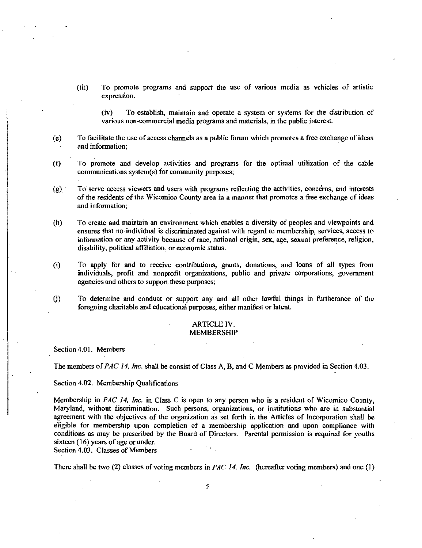iii To promote programs and support the use of various media as vehicles of artistic expression

iv To establish maintain and operate <sup>a</sup> system or systems for the distribution of various non-commercial media programs and materials, in the public interest.

- e To facilitate the use of access channels as <sup>a</sup> public forum which promotes <sup>a</sup> free exchange ofideas and information
- f To promote and develop activities and programs for the optimal utilization of the cable  $commu$ nications system $(s)$  for community purposes;
- $(g)$  To serve access viewers and users with programs reflecting the activities, concerns, and interests of the residents of the Wicomico County area in a manner that promotes a free exchange of ideas and information
- (h) To create and maintain an environment which enables a diversity of peoples and viewpoints and ensures that no individual is discriminated against with regard to membership, services, access to information or any activity because of race, national origin, sex, age, sexual preference, religion, disability, political affiliation, or economic status. In To create and maintain an environment which enables a diversity of peoples and viewpoints and<br>
information or any activity because of race, national origin, sex, age, sexual preference, religion,<br>
disability, political
- individuals, profit and nonprofit organizations, public and private corporations, government agencies and others to support these purposes; (i) To apply for and to receive contributions, grants, donations, and loans of all types from individuals, profit and nonprofit organizations, public and private corporations, government agencies and others to support thes
- foregoing charitable and educational purposes either manifest or latent

#### ARTICLE IV MEMBERSHIP

#### Section 4.01. Members

Section 4.01. Members<br>The members of *PAC 14, Inc.* shall be consist of Class A, B, and C Members as provided in Section 4.03.

# The members of *PAC 14, Inc.* shall be consection 4.02. Membership Qualifications

Membership in  $PAC$  14, Inc. in Class C is open to any person who is a resident of Wicomico County, Maryland, without discrimination. Such persons, organizations, or institutions who are in substantial agreement with the objectives of the organization as set forth in the Articles of Incorporation shall be eligible for membership upon completion of <sup>a</sup> membership application and upon compliance with conditions as may be prescribed by the Board of Directors. Parental permission is required for youths engible for membership upon<br>conditions as may be prescribed<br>sixteen (16) years of age or under.<br>Section 4.03. Classes of Members

Section 4.03. Classes of Members<br>There shall be two (2) classes of voting members in *PAC 14. Inc.* (hereafter voting members) and one (1)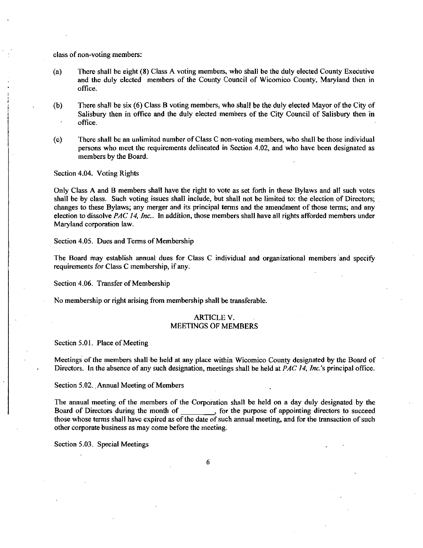class of non-voting members:

- (a) There shall be eight  $(8)$  Class A voting members, who shall be the duly elected County Executive and the duly elected members of the County Council of Wicomico County, Maryland then in office
- (b) There shall be six  $(6)$  Class B voting members, who shall be the duly elected Mayor of the City of Salisbury then in office and the duly elected members of the City Council of Salisbury then in office
- (c) There shall be an unlimited number of Class C non-voting members, who shall be those individual persons who meet the requirements delineated in Section 4.02, and who have been designated as members by the Board members by the Board persons who meet the requirements delineated in Section 4.02, and who have been designated as members by the Board.<br>Section 4.04. Voting Rights

Only Class A and <sup>B</sup> members shall have the right to vote as set forth in these Bylaws and all such votes shall be by class. Such voting issues shall include, but shall not be limited to: the election of Directors; changes to these Bylaws; any merger and its principal terms and the amendment of those terms; and any election to dissolve *PAC 14, Inc..* In addition, those members shall have all rights afforded members under Maryland corporation law

Section 4.05. Dues and Terms of Membership

The Board may establish annual dues for Class <sup>C</sup> individual and organizational members and specify requirements for Class C membership, if any<br>Section 4.06. Transfer of Membership

No membership or right arising from membership shall be transferable.

#### ARTICLE V MEETINGS OF MEMBERS

Section 5.01. Place of Meeting

Meetings of the members shall be held at any place within Wicomico County designated by the Board of Bection J.01. Place of Meeting<br>Meetings of the members shall be held at any place within Wicomico County designated by the Board of<br>Directors. In the absence of any such designation, meetings shall be held at *PAC 14, Inc* Directors. In the absence of any such designation, meetings shall be held at *PAC 14, Inc*.'s principal office.<br>Section 5.02. Annual Meeting of Members

The annual meeting of the members of the Corporation shall be held on a day duly designated by the Board of Directors during the month of for the purpose of appointing directors to succeed board of appointing directors to succeed those whose terms shall have expired as of the date of such annual meeting, and for the transaction of such other corporate business as may come before the meeting

Section 5.03. Special Meetings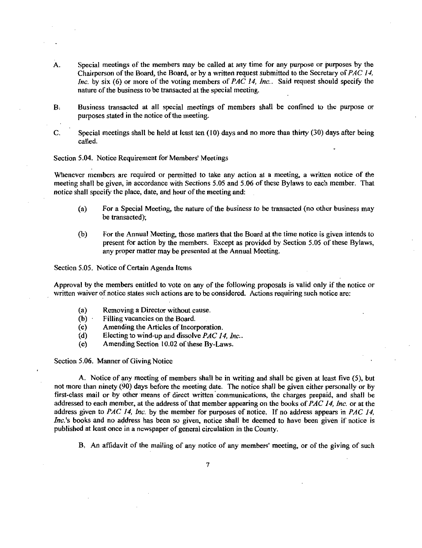- A. Special meetings of the members may be called at any time for any purpose or purposes by the Chairperson of the Board, the Board, or by a written request submitted to the Secretary of PAC 14. Inc. by six  $(6)$  or more of the voting members of PAC 14, Inc.. Said request should specify the nature of the business to be transacted at the special meeting.
- B. Business transacted at all special meetings of members shall be confined to the purpose or purposes stated in the notice of the meeting.
- C. Special meetings shall be held at least ten  $(10)$  days and no more than thirty  $(30)$  days after being called

Section 5.04. Notice Requirement for Members' Meetings

Whenever members are required or permitted to take any action at a meeting, a written notice of the meeting shall be given, in accordance with Sections 5.05 and 5.06 of these Bylaws to each member. That notice shall specify the place, date, and hour of the meeting and:

- (a) For a Special Meeting, the nature of the business to be transacted (no other business may be transacted);
- (b) For the Annual Meeting, those matters that the Board at the time notice is given intends to present for action by the members. Except as provided by Section 5.05 of these Bylaws, any proper matter may be presented at the Annual Meeting

Section 5.05. Notice of Certain Agenda Items

Approval by the members entitled to vote on any of the following proposals is valid only if the notice or written waiver of notice states such actions are to be considered. Actions requiring such notice are:

- (a) Removing a Director without cause.<br>(b) Filling vacancies on the Board.
- Filling vacancies on the Board.
- 
- (c) Amending the Articles of Incorporation.<br>
(d) Electing to wind-up and dissolve *PAC 14, Inc.*<br>
(e) Amending Section 10.02 of these By-Laws.
- Amending Section 10.02 of these By-Laws.

Section 5.06. Manner of Giving Notice

A. Notice of any meeting of members shall be in writing and shall be given at least five (5), but not more than ninety (90) days before the meeting date. The notice shall be given either personally or by first-class mail or by other means of direct written communications, the charges prepaid, and shall be addressed to each member, at the address of that member appearing on the books of  $PAC$  14, Inc. or at the addressed to each member, at the address of that member appearing on the books of PAC 14, Inc. or at the address given to PAC 14, Inc. by the member for purposes of notice. If no address appears in PAC 14, first-class mail or by other means of direct written communications, the charges prepaid, and shall be addressed to each member, at the address of that member appearing on the books of  $PAC$  14, Inc. or at the address give Inc.'s books and no address has been so given, notice shall be deemed to have been given if notice is published at least once in a newspaper of general circulation in the County.

B. An affidavit of the mailing of any notice of any members' meeting, or of the giving of such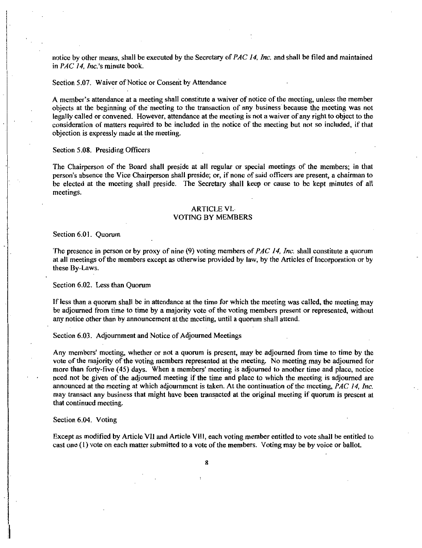notice by other means, shall be executed by the Secretary of *PAC 14, Inc.* and shall be filed and maintained in *PAC 14, Inc*.'s minute book. in  $PAC$  14, Inc.'s minute book.<br>Section 5.07. Waiver of Notice or Consent by Attendance

motice by other means, shall be executed by the Secretary of *PAC 14, Inc.* and shall be filed and maintained<br>in *PAC 14, Inc.*'s minute book.<br>Section 5.07. Waiver of Notice or Consent by Attendance<br>A member's attendance a A member's attendance at a meeting shall constitute a waiver of notice of the meeting, unless the member<br>objects at the beginning of the meeting to the transaction of any business because the meeting was not legally called or convened. However, attendance at the meeting is not a waiver of any right to object to the consideration of matters required to be included in the notice of the meeting but not so included, if that objection is expressly made at the meeting Section 508 Presiding Officers

The Chairperson of the Board shall preside at all regular or special meetings of the members; in that Section 5.08. Presiding Officers<br>The Chairperson of the Board shall preside at all regular or special meetings of the members; in that<br>person's absence the Vice Chairperson shall preside; or, if none of said officers are p person's absence the Vice Chairperson shall preside; or, if none of said officers are present, a chairman to be elected at the meeting shall preside. The Secretary shall keep or cause to be kept minutes of all meetings

#### ARTICLE VI VOTING BY MEMBERS

Section 6.01. Quorum

The presence in person or by proxy of nine  $(9)$  voting members of *PAC 14, Inc.* shall constitute a quorum at all meetings of the members except as otherwise provided by law, by the Articles of Incorporation or by these By-Laws.

Section 6.02. Less than Ouorum

If less than a quorum shall be in attendance at the time for which the meeting was called, the meeting may be adjourned from time to time by a majority vote of the voting members present or represented, without any notice other than by announcement at the meeting, until a quorum shall attend.<br>Section 6.03. Adjournment and Notice of Adjourned Meetings

Any members' meeting, whether or not a quorum is present, may be adjourned from time to time by the vote of the majority of the voting members represented at the meeting. No meeting may be adjourned for more than forty-five (45) days. When a members' meeting is adjourned to another time and place, notice need not be given of the adjourned meeting if the time and place to which the meeting is adjourned are announced at the meeting at which adjournment is taken. At the continuation of the meeting, PAC 14, Inc. may transact any business that might have been transacted at the original meeting ifquorum is present at that continued meeting

#### Section 6.04. Voting

Except as modified by Article VII and Article VIII, each voting member entitled to vote shall be entitled to cast one  $(1)$  vote on each matter submitted to a vote of the members. Voting may be by voice or ballot.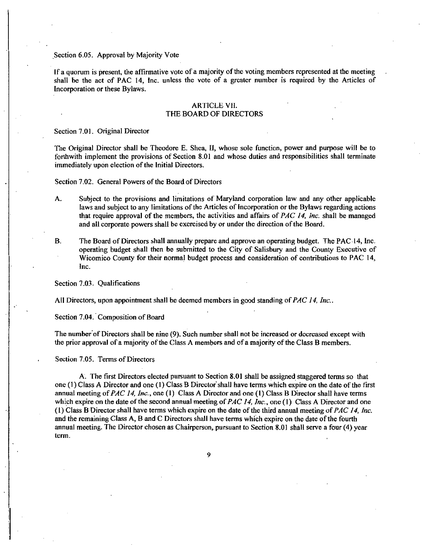#### Section 6.05. Approval by Majority Vote

If a quorum is present, the affirmative vote of a majority of the voting members represented at the meeting shall be the act of PAC 14, Inc. unless the vote of a greater number is required by the Articles of Incorporation or these Bylaws

#### **ARTICLE VII.** THE BOARD OF DIRECTORS

#### Section 7.01. Original Director

The Original Director shall be Theodore E. Shea, II, whose sole function, power and purpose will be to forthwith implement the provisions of Section 801 and whose duties and responsibilities shall terminate immediately upon election of the Initial Directors.<br>Section 7.02. General Powers of the Board of Directors

- A. Subject to the provisions and limitations of Maryland corporation law and any other applicable laws and subject to any limitations of the Articles of Incorporation or the Bylaws regarding actions that require approval of the members, the activities and affairs of PAC 14. Inc. shall be managed and all corporate powers shall be exercised by or under the direction of the Board.
- 
- B. The Board of Directors shall annually prepare and approve an operating budget. The PAC 14, Inc. operating budget shall then be submitted to the City of Salisbury and the County Executive of Wicomico County for their normal budget process and consideration of contributions to PAC 14. Inc

Section 7.03. Qualifications

All Directors, upon appointment shall be deemed members in good standing of PAC 14, Inc.<br>Section 7.04. Composition of Board

The number of Directors shall be nine (9). Such number shall not be increased or decreased except with the prior approval of a majority of the Class A members and of a majority of the Class B members.<br>Section 7.05. Terms of Directors

Section 7.05. Terms of Directors<br>A. The first Directors elected pursuant to Section 8.01 shall be assigned staggered terms so that one  $(1)$  Class A Director and one  $(1)$  Class B Director shall have terms which expire on the date of the first annual meeting of PAC 14, Inc., one (1) Class A Director and one (1) Class B Director shall have terms which expire on the date of the second annual meeting of PAC 14, Inc., one  $(1)$  Class A Director and one (1) Class B Director shall have terms which expire on the date of the third annual meeting of PAC 14. Inc. (1) Class B Director shall have terms which expire on the date of the third annual meeting of PAC 14, In and the remaining Class A, B and C Directors shall have terms which expire on the date of the fourth annual meeting. term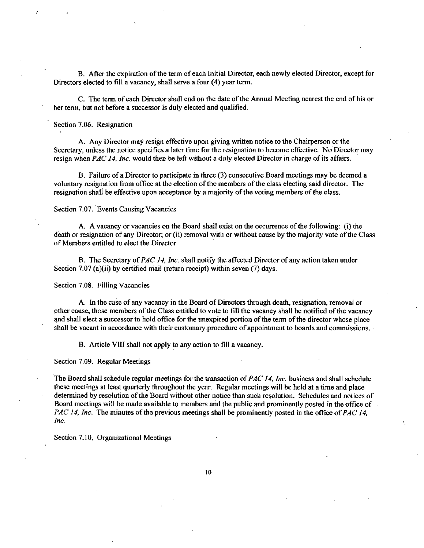B. After the expiration of the term of each Initial Director, each newly elected Director, except for Directors elected to fill a vacancy, shall serve a four (4) year term.

C The term ofeach Director shall end on the date ofthe Annual Meeting nearest the end ofhis or her term, but not before a successor is duly elected and qualified<br>Section 7.06. Resignation

A Any Director may resign effective upon giving written notice to the Chairperson or the Secretary, unless the notice specifies a later time for the resignation to become effective. No Director may resign when  $PAC$  14, Inc. would then be left without a duly elected Director in charge of its affairs.

B. Failure of a Director to participate in three (3) consecutive Board meetings may be deemed a voluntary resignation from office at the election of the members of the class electing said director. The resignation shall be effective upon acceptance by a majority of the voting members of the class.<br>Section 7.07. Events Causing Vacancies

resignation shall be effective upon acceptance by a majority of the voting members of the class.<br>Section 7.07. Events Causing Vacancies<br>A. A vacancy or vacancies on the Board shall exist on the occurrence of the following: A. A vacancy or vacancies on the Board shall exist on the occurrence of the following: (i) the of Members entitled to elect the Director.

B. The Secretary of PAC 14, Inc. shall notify the affected Director of any action taken under Section 7.07 (a)(ii) by certified mail (return receipt) within seven  $(7)$  days.

Section 7.08. Filling Vacancies

A. In the case of any vacancy in the Board of Directors through death, resignation, removal or other cause, those members of the Class entitled to vote to fill the vacancy shall be notified of the vacancy and shall elect a successor to hold office for the unexpired portion of the term of the director whose place shall be vacant in accordance with their customary procedure of appointment to boards and commissions.

B. Article VIII shall not apply to any action to fill a vacancy.

Section 7.09. Regular Meetings

The Board shall schedule regular meetings for the transaction of  $PAC$  14, Inc. business and shall schedule these meetings at least quarterly throughout the year. Regular meetings will be held at a time and place determined by resolution of the Board without other notice than such resolution. Schedules and notices of Board meetings will be made available to members and the public and prominently posted in the office of *PAC 14, Inc.* The minutes of the previous meetings shall be prominently posted in the office of *PAC 14*, Inc

Section 7.10. Organizational Meetings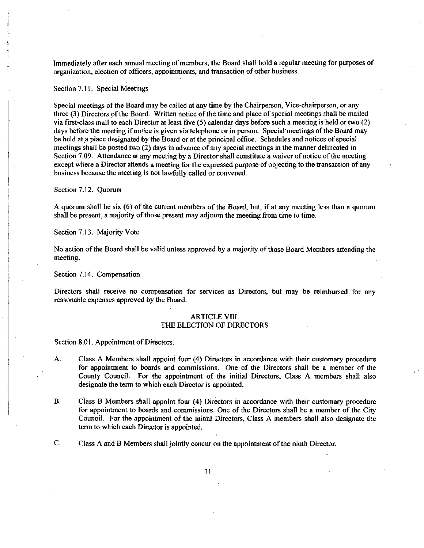Immediately after each annual meeting of members, the Board shall hold a regular meeting for purposes of organization, election of officers, appointments, and transaction of other business.<br>Section 7.11. Special Meetings

Section 7.11. Special Meetings<br>Special meetings of the Board may be called at any time by the Chairperson, Vice-chairperson, or any three (3) Directors of the Board. Written notice of the time and place of special meetings shall be mailed via first-class mail to each Director at least five  $(5)$  calendar days before such a meeting is held or two  $(2)$ days before the meeting if notice is given via telephone or in person. Special meetings of the Board may be held at a place designated by the Board or at the principal office. Schedules and notices of special meetings shall be posted two (2) days in advance of any special meetings in the manner delineated in Section 7.09. Att meetings shall be posted two (2) days in advance of any special meetings in the manner delineated in<br>Section 7.09. Attendance at any meeting by a Director shall constitute a waiver of notice of the meeting except where a Director attends a meeting for the expressed purpose of objecting to the transaction of any business because the meeting is not lawfully called or convened.<br>Section 7.12. Quorum

A quorum shall be six  $(6)$  of the current members of the Board, but, if at any meeting less than a quorum shall be present, a majority of those present may adjourn the meeting from time to time.<br>Section 7.13. Majority Vote

No action of the Board shall be valid unless approved by a majority of those Board Members attending the meeting

Section 7.14. Compensation

Directors shall receive no compensation for services as Directors, but may be reimbursed for any reasonable expenses approved by the Board.

#### ARTICLE VIII THE ELECTION OF DIRECTORS

Section 8.01. Appointment of Directors.

- A. Class A Members shall appoint four (4) Directors in accordance with their customary procedure for appointment to boards and commissions. One of the Directors shall be a member of the County Council For the appointment of the initial Directors Class A members shall also designate the term to which each Director is appointed
- B. Class B Members shall appoint four (4) Directors in accordance with their customary procedure for appointment to boards and commissions. One of the Directors shall be a member of the City Council. For the appointment of the initial Directors, Class A members shall also designate the term to which each Director is appointed
- C. Class A and B Members shall jointly concur on the appointment of the ninth Director.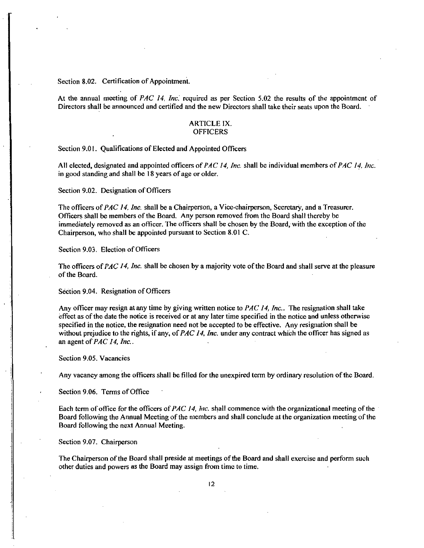#### Section 8.02. Certification of Appointment.

At the annual meeting of *PAC 14, Inc.* required as per Section 5.02 the results of the appointment of Directors shall be announced and certified and the new Directors shall take their seats upon the Board

#### ARTICLE IX **OFFICERS**

Section 9.01. Qualifications of Elected and Appointed Officers

All elected, designated and appointed officers of PAC 14, Inc. shall be individual members of PAC 14, Inc. in good standing and shall be 18 years of age or older.

Section 9.02. Designation of Officers

The officers of PAC 14, Inc. shall be a Chairperson, a Vice-chairperson, Secretary, and a Treasurer. Officers shall be members of the Board. Any person removed from the Board shall thereby be immediately removed as an officer. The officers shall be chosen by the Board, with the exception of the Officers shall be members of the Board. Any person removed is<br>immediately removed as an officer. The officers shall be chosen<br>Chairperson, who shall be appointed pursuant to Section 8.01 C Chairperson, who shall be appoint<br>Section 9.03. Election of Officers

The officers of PAC 14, Inc. shall be chosen by a majority vote of the Board and shall serve at the pleasure of the Board.

Section 9.04. Resignation of Officers

Any officer may resign at any time by giving written notice to  $PAC$  14, Inc.. The resignation shall take effect as ofthe date the notice is received or at any later time specified in the notice and unless otherwise specified in the notice, the resignation need not be accepted to be effective. Any resignation shall be without prejudice to the rights, if any, of  $PAC$  14, Inc. under any contract which the officer has signed as an agent of PAC 14, Inc.<br>Section 9.05. Vacancies

Any vacancy among the officers shall be filled for the unexpired term by ordinary resolution of the Board.<br>Section 9.06. Terms of Office

Each term of office for the officers of PAC 14, Inc. shall commence with the organizational meeting of the Board following the Annual Meeting of the members and shall conclude at the organization meeting of the Board following the results increased to the next Annual Meeting.<br>
Section 9.07. Chairperson

The Chairperson of the Board shall preside at meetings of the Board and shall exercise and perform such other duties and powers as he Board may assign from time to time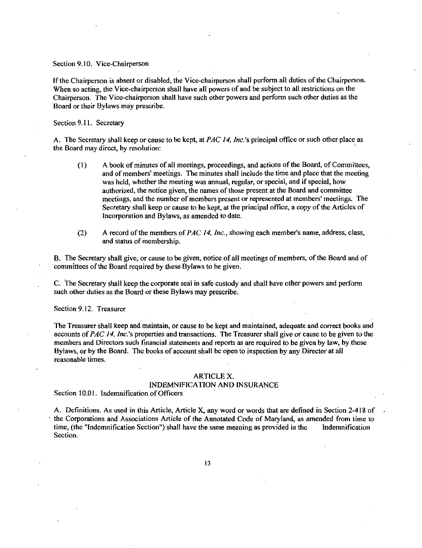#### Section 9.10. Vice-Chairperson

If the Chairperson is absent or disabled, the Vice-chairperson shall perform all duties of the Chairperson. If the Chairperson is absent or disabled, the Vice-chairperson shall perform all duties of the Chairpers<br>When so acting, the Vice-chairperson shall have all powers of and be subject to all restrictions on the<br>Chairperson. If the Chairperson is absent or disabled, the Vice-chairperson shall perform an duties of the Chairperson<br>When so acting, the Vice-chairperson shall have all powers of and be subject to all restrictions on the<br>Chairperson. Board or their Bylaws may prescribe

#### Section 9.11. Secretary

A. The Secretary shall keep or cause to be kept, at *PAC 14, Inc.*'s principal office or such other place as the Board may direct, by resolution:

- (1) A book of minutes of all meetings, proceedings, and actions of the Board, of Committees, and of members' meetings. The minutes shall include the time and place that the meeting was held, whether the meeting was annual, regular, or special, and if special, how authorized, the notice given, the names of those present at the Board and committee meetings, and the number of members present or represented at members' meetings. The Secretary shall keep or cause to be kept, at the principal office, a copy of the Articles of Incorporation and Bylaws, as amended to date. 22 a record of the members of *PAC 14, Inc.*, showing each member's name, address, class, and status of membership.
- A record of the members of *PAC 14, Inc.*, showing each member's name, address, class, and status of membership.

B. The Secretary shall give, or cause to be given, notice of all meetings of members, of the Board and of committees of the Board required by these Bylaws to be given.

C The Secretary shall keep the corporate seal in safe custody and shall have other powers and perform Such other duties as the Board or these Bylaws may prescribe<br>Section 9.12. Treasurer

The Treasurer shall keep and maintain, or cause to be kept and maintained, adequate and correct books and Section 9.12. Treasurer<br>The Treasurer shall keep and maintain, or cause to be kept and maintained, adequate and correct books and<br>accounts of *PAC 14, Inc*.'s properties and transactions. The Treasurer shall give or cause members and Directors such financial statements and reports as are required to be given by law, by these Bylaws, or by the Board. The books of account shall be open to inspection by any Director at all reasonable times

#### ARTICLE X

#### INDEMNIFICATION AND INSURANCE

#### Section 10.01. Indemnification of Officers

A. Definitions. As used in this Article, Article X, any word or words that are defined in Section 2-418 of the Corporations and Associations Article of the Annotated Code of Maryland, as amended from time to time, (the "Indemnification Section") shall have the same meaning as provided in the Indemnification time, (the "Indemnification Section") shall have the same meaning as provided in the Section.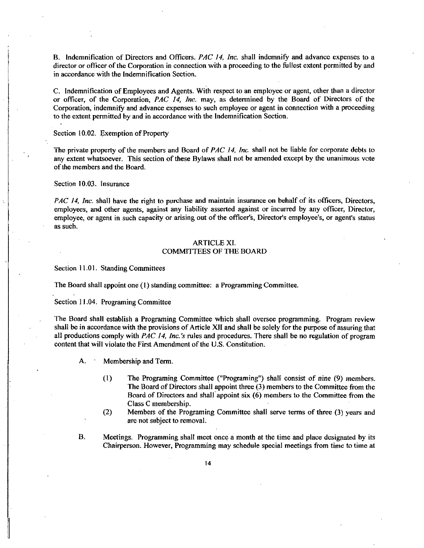B. Indemnification of Directors and Officers. PAC 14, Inc. shall indemnify and advance expenses to a director or officer ofthe Corporation in connection with <sup>a</sup> proceeding to the fullest extent permitted by and in accordance with the Indemnification Section

C. Indemnification of Employees and Agents. With respect to an employee or agent, other than a director or officer, of the Corporation, PAC 14, Inc. may, as determined by the Board of Directors of the Corporation indemnify and advance expenses to such employee or agent in connection with a proceeding to the extent permitted by and in accordance with the Indemnification Section

Section 10.02. Exemption of Property

The private property of the members and Board of PAC 14, Inc. shall not be liable for corporate debts to any extent whatsoever. This section of these Bylaws shall not be amended except by the unanimous vote of the members and the Board.

Section 10.03. Insurance

 $PAC$  14, Inc. shall have the right to purchase and maintain insurance on behalf of its officers, Directors, employees, and other agents, against any liability asserted against or incurred by any officer, Director, employee, or agent in such capacity or arising out of the officer's. Director's employee's, or agent's status Section 10.03. Insurance<br>Section 10.03. Insurance<br>*PAC 14, Inc.* shall have the right to purchase and maintain insurance on behalf of its officers, Directors,<br>employees, and other agents, against any liability asserted aga as such

#### ARTICLE XI COMMITTEES OF THE BOARD

Section 11.01. Standing Committees

The Board shall appoint one (1) standing committee: a Programming Committee.

Section 11.04. Programing Committee

The Board shall establish a Programing Committee which shall oversee programming. Program review shall be in accordance with the provisions of Article XII and shall be solely for the purpose of assuring that all productions comply with *PAC 14, Inc.'s* rules and procedures. There shall be no regulation of program The Board shall establish a Programing Committee which shall oversee programming. Program review shall be in accordance with the provisions of Article XII and shall be solely for the purpose of assuring that all production content that will violate the First Amendment of the U.S. Constitution.

A. Membership and Term.

- (1) The Programing Committee ("Programing") shall consist of nine (9) members. The Board of Directors shall appoint three (3) members to the Committee from the Board of Directors and shall appoint six (6) members to the Committee from the Class C membership
- (2) Members of the Programing Committee shall serve terms of three (3) years and are not subject to removal
- B. Meetings. Programming shall meet once a month at the time and place designated by its Chairperson. However, Programming may schedule special meetings from time to time at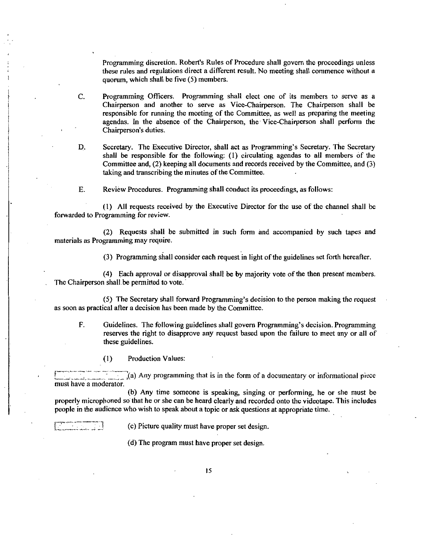Programming discretion. Robert's Rules of Procedure shall govern the proceedings unless<br>these rules and regulations direct a different result. No meeting shall commence without a quorum, which shall be five  $(5)$  members.

- C. Programming Officers. Programming shall elect one of its members to serve as a Chairperson and another to serve as Vice Charperson The Chairperson shall be Chairperson and another to serve as Vice-Chairperson. The Chairperson shall be responsible for running the meeting of the Committee, as well as preparing the meeting agendas. In the absence of the Chairperson, the Vice-Cha Togramming disorce<br>these rules and regular<br>quorum, which shall<br>Programming Offic<br>Chairperson and a<br>responsible for runn<br>agendas. In the absolutions<br>Chairperson's duties<br>Secretary. The Exe C.<br>
C. Programming Officers. Programming shall elect one of its members to serve as a<br>
Chairperson and another to serve as Vice-Chairperson. The Chairperson shall be<br>
responsible for running the meeting of the Committee,
- Secretary. The Executive Director, shall act as Programming's Secretary. The Secretary shall be responsible for the following: (1) circulating agendas to all members of the Committee and,  $(2)$  keeping all documents and records received by the Committee, and  $(3)$ taking and transcribing the minutes of the Committee.
- E. Review Procedures. Programming shall conduct its proceedings, as follows:

1 All requests received by the Executive Director for the use of the channel shall be forwarded to Programming for review

2 Requests shall be submitted in such form and accompanied by such tapes and materials as Programming may require (2) Requests shall be submitted in such form and accompanied by such tapes and<br>gramming may require.<br>(3) Programming shall consider each request in light of the guidelines set forth hereafter.<br>(4) Each approval or disappro

(3) Programming shall consider each request in light of the guidelines set forth hereafter.

(4) Each approval or disapproval shall be by majority vote of the then present members. The Chairperson shall be permitted to vote

as soon as practical after <sup>a</sup> decision has been made by the Committee

- Guidelines The following guidelines shall be by majority vote of the then present members.<br>
(4) Each approval or disapproval shall be by majority vote of the then present members.<br>
(5) The Secretary shall forward Programmi F. these guidelines
	- (1) Production Values:

 $\hat{a}$ (a) Any programming that is in the form of a documentary or informational piece must have a moderator.

(b) Any time someone is speaking, singing or performing, he or she must be properly microphoned so that he or she can be heard clearly and recorded onto the videotape This includes people in the audience who wish to speak about a topic or askquestions at appropriate time (b) Any time someone is speaking, singing<br>properly microphoned so that he or she can be heard clearly and record<br>people in the audience who wish to speak about a topic or ask questions<br>(c) Picture quality must have proper

(d) The program must have proper set design.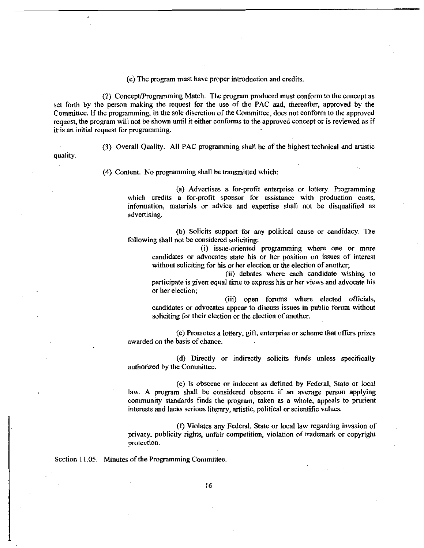$(e)$  The program must have proper introduction and credits.

2 ConcepdProgramming Match The program produced must conform to the concept as set forth by the person making the request for the use of the PAC and, thereafter, approved by the Committee. If the programming, in the sole discretion of the Committee, does not conform to the approved request, the program will not be shown until it either conforms to the approved concept or is reviewed as if it is an initial request for programming.

quality

3 Overall Quality All PAC programming shall be ofthe highest technical and artistic

(4) Content. No programming shall be transmitted which:

(a) Advertises a for-profit enterprise or lottery. Programming which credits a for-profit sponsor for assistance with production costs, information, materials or advice and expertise shall not be disqualified as advertising

b Solicits support for any political cause or candidacy The following shall not be considered soliciting

ing.<br>
(b) Solicits support for any political cause or candidaty. The<br>
g shall not be considered soliciting:<br>
(i) issue-oriented programming where one or more<br>
candidates or advocates state his or her position on issues of without soliciting for his or her election or the election of another;

(ii) debates where each candidate wishing to participate is given egaal time to express his or her views and advocate his or her election

(iii) open forums where elected officials, candidates or advocates appeaz to discuss issues in public forum without soliciting for their election or the election of another.

(c) Promotes a lottery, gift, enterprise or scheme that offers prizes awarded on the basis of chance.

(d) Directly or indirectly solicits funds unless specifically authorized by the Committee

e Is obscene or indecent as defined by Federal State or local law. A program shall be considered obscene if an average person applying community standards finds the program, taken as a whole, appeals to prurient interests and lacks serious literary, artistic, political or scientific values.

(f) Violates any Federal, State or local law regarding invasion of privacy, publicity rights, unfair competition, violation of trademark or copyright protection

Section 11.05. Minutes of the Programming Committee.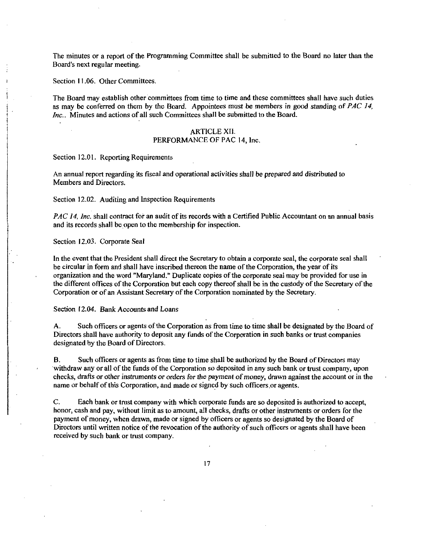The minutes or a report of the Programming Committee shall be submitted to the Board no later than the Board's next regular meeting.

Section 11.06. Other Committees.

The Board may establish other committees from time to time and these committees shall have such duties as may be conferred on them by the Board. Appointees must be members in good standing of PAC  $14$ ,  $Inc.$  Minutes and actions of all such Committees shall be submitted to the Board.

#### ARTICLE XII

#### PERFORMANCE OF PAC 14, Inc.

#### Section 12.01. Reporting Requirements

An annual report regarding its fiscal and operational activities shall be prepared and distributed to Members and Directors

Section 12.02. Auditing and Inspection Requirements

PAC 14, Inc. shall contract for an audit of its records with a Certified Public Accountant on an annual basis and its records shall be open to the membership for inspection

Section 12.03. Corporate Seal

In the event that the President shall direct the Secretary to obtain a corporate seal, the corporate seal shall be circular in form and shall have inscribed thereon the name of the Corporation, the year of its organization and the word "Maryland." Duplicate copies of the corporate seal may be provided for use in the different offices ofthe Corporation but each copythereofshall be in the custody ofthe Secretary ofthe Corporation or of an Assistant Secretary of the Corporation nominated by the Secretary.

Section 12.04. Bank Accounts and Loans

A. Such officers or agents of the Corporation as from time to time shall be designated by the Board of Directors shall have authority to deposit any funds of the Corporation in such banks or trust companies designated by the Board of Directors.

B. Such officers or agents as from time to time shall be authorized by the Board of Directors may withdraw any or all of the funds of the Corporation so deposited in any such bank or trust company, upon checks, drafts or other instruments or orders for the payment of money, drawn against the account or in the name or behalf of this Corporation, and made or signed by such officers or agents.

C. Each bank or trust company with which corporate funds are so deposited is authorized to accept, honor, cash and pay, without limit as to amount, all checks, drafts or other instruments or orders for the payment of money, when drawn, made or signed by officers or agents so designated by the Board of Directors until written notice of the revocation of the authority of such officers or agents shall have been received by such bank or trust company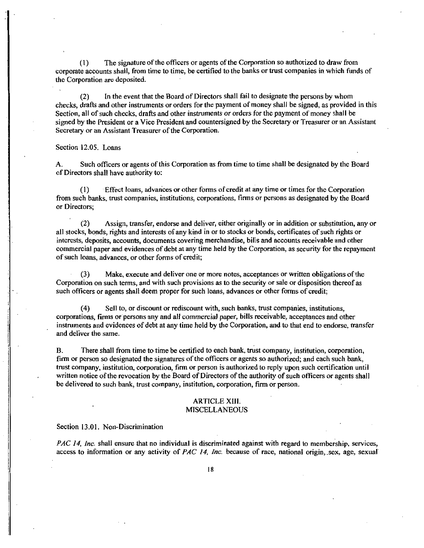(1) The signature of the officers or agents of the Corporation so authorized to draw from<br>corporate accounts shall, from time to time, be certified to the banks or trust companies in which funds of the Corporation are deposited

(2) In the event that the Board of Directors shall fail to designate the persons by whom checks, drafts and other instruments or orders for the payment of money shall be signed, as provided in this Section, all of such checks, drafts and other instruments or orders for the payment of money shall be signed by the President or a Vice President and countersigned by the Secretary or Treasurer or an Assistant Secretary or an Assistant Treasurer of the Corporation.

#### Section 12.05. Loans

A Such officers or agents ofthisCorporation as from time to time shall be designated by the Board of Directors shall have authority to:

1 Effect loans advances or other forms of credit at any time or times for the Corporation from such banks trust companies institutions corporations firms or persons as designated by the Board or Directors;

(2) Assign, transfer, endorse and deliver, either originally or in addition or substitution, any or all stocks, bonds, rights and interests of any kind in or to stocks or bonds, certificates of such rights or interests, deposits, accounts, documents covering merchandise, bills and accounts receivable and other commercial paper and evidences of debt at any time held by the Corporation, as security for the repayment of such loans, advances, or other forms of credit;

(3) Make, execute and deliver one or more notes, acceptances or written obligations of the Corporation on such terms, and with such provisions as to the security or sale or disposition thereof as such officers or agents shall deem proper for such loans, advances or other forms of credit;

(4) Sell to, or discount or rediscount with, such banks, trust companies, institutions, corporations, firms or persons any and all commercial paper, bills receivable, acceptances and other instruments and evidences of debt at any time held by the Corporation, and to that end to endorse, transfer and deliver the same

B. There shall from time to time be certified to each bank, trust company, institution, corporation, firm or person so designated the signatures of the officers or agents so authorized; and each such bank, trustcompany institution corporation firm or person is authorized to reply upon such certification until written notice of the revocation by the Board of Directors of the authority of such officers or agents shall be delivered to such bank, trust company, institution, corporation, firm or person.

#### ARTICLE XIII MISCELLANEOUS

#### Section 13.01. Non-Discrimination

*PAC 14, Inc.* shall ensure that no individual is discriminated against with regard to membership, services, access to information or any activity of  $PAC$  14, Inc. because of race, national origin, sex, age, sexual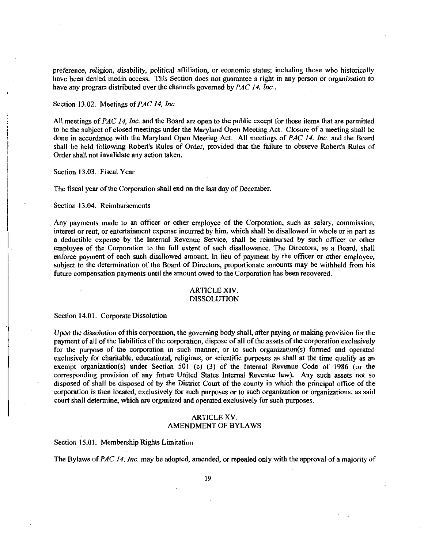preference, religion, disability, political affiliation, or economic status; including those who historically have been denied media access. This Section does not guarantee a right in any person or organization to have any program distributed over the channels governed by PAC 14, Inc..

Section 13.02. Meetings of PAC 14, Inc.

All meetings of PAC 14, Inc. and the Board are open to the public except for those items that are permitted to be the subject of closed meetings under the Maryland Open Meeting Act. Closure of a meeting shall be done in accordance with the Maryland Open Meeting Act. All meetings of PAC 14, Inc. and the Board Section 15.02. Welchings of PAC 14, Inc.<br>All meetings of PAC 14, Inc. and the Board are open to the public except for those items that are permitted<br>to be the subject of closed meetings under the Maryland Open Meeting Act. Order shall not invalidate any action taken

Section 13.03. Fiscal Year

The fiscal year of the Corporation shall end on the last day of December.

Section 13.04. Reimbursements

Any payments made to an officer or other employee of the Corporation, such as salary, commission, interest or rent, or entertainment expense incurred by him, which shall be disallowed in whole or in part as a deductible expense by the Intemal Revenue Service shall be reimbursed by such officer or other employee of the Corporation to the full extent of such disallowance. The Directors, as a Board, shall enforce payment of each such disallowed amount. In lieu of payment by the officer or other employee, subject to the determination of the Board of Directors, proportionate amounts may be withheld from his future compensation payments until the amount owed to the Corporation has been recovered

#### ARTICLE XIV DISSOLUTION

Section 14.01. Corporate Dissolution

Upon the dissolution of this corporation, the governing body shall, after paying or making provision for the payment of all of the liabilities of the corporation, dispose of all of the assets of the corporation exclusively<br>for the purpose of the corporation in such manner, or to such organization(s) formed and operated For the purpose of the corporation, the poverning body shall, after paying or making provision for the purpose of this corporation, the governing body shall, after paying or making provision for the payment of all of the l exclusively for charitable, educational, religious, or scientific purposes as shall at the time qualify as an exempt organization(s) under Section 501 (c) (3) of the Internal Revenue Code of 1986 (or the Section 14.01. Corporate Dissolution<br>Upon the dissolution of this corporation, the governing body shall, after paying or making provision for the<br>payment of all of the liabilities of the corporation, dispose of all of the corresponding provision of any future United States Internal Revenue law). Any such assets not so disposed of shall be disposed of by the District Court of the county in which the principal office of the corporation is then located, exclusively for such purposes or to such organization or organizations, as said court shall determine, which are organized and operated exclusively for such purposes.

#### ARTICLE XV AMENDMENT OF BYLAWS

Section 15.01. Membership Rights Limitation

The Bylaws of PAC 14, Inc. may be adopted, amended, or repealed only with the approval of a majority of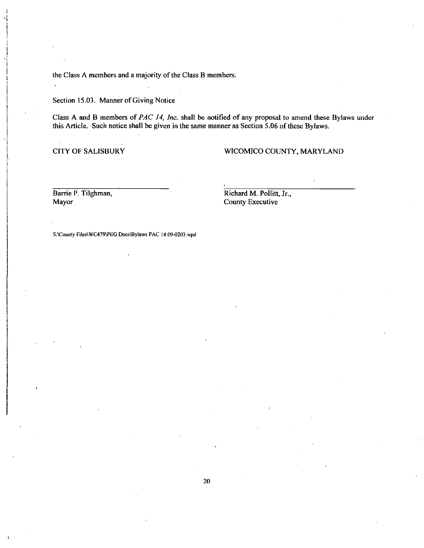the Class A members and a majority of the Class B members.

.<br>Section 15.03. Manner of Giving Notice

Class A and B members of *PAC 14, Inc.* shall be notified of any proposal to amend these Bylaws under this Article. Such notice shall be given in the same manner as Section 5.06 of these Bylaws.

CITY OF SALISBURY

#### WICOMICO COUNTY, MARYLAND

Barrie P. Tilghman, Mayor

Richard M. Pollitt, Jr., County Executive

S:\County Files\WC479\PEG Docs\Bylaws PAC 14 09-0203.wpd